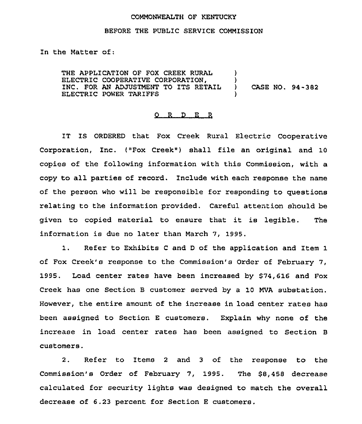## COMMONWEALTH OF KENTUCKY

## BEFORE THE PUBLIC SERVICE COMMISSION

In the Matter of:

THE APPLICATION OF FOX CREEK RURAL ELECTRIC COOPERATIVE CORPORATION, INC. FOR AN ADJUSTMENT TO ITS RETAIL ELECTRIC POWER TARIFFS ) )<br>) ) CASE NO. 94-382 )

## 0 R <sup>D</sup> E R

IT IS ORDERED that Fox Creek Rural Electric Cooperative Corporation, Inc. ("Fox Creek") shall file an original and 10 copies of the following information with this Commission, with a copy to all parties of record. Include with each response the name of the person who will be responsible for responding to questions relating to the information provided. Careful attention should be given to copied material to ensure that it is legible. The information is due no later than March 7, 1995.

1. Refer to Exhibits <sup>C</sup> and <sup>D</sup> of the application and Item <sup>1</sup> of Fox Creek's response to the Commission's Order of February 7, 1995. Load center rates have been increased by \$74,616 and Fox Creek has one Section B customer served by a 10 MVA substation. However, the entire amount of the increase in load center rates has been assigned to Section <sup>E</sup> customers. Explain why none of the increase in load center rates has been assigned to Section <sup>B</sup> customers.

2. Refer to Items <sup>2</sup> and <sup>3</sup> of the response to the Commission's Order of February 7, 1995. The \$8,458 decrease calculated for security lights was designed to match the overall decrease of 6.23 percent for Section <sup>E</sup> customers.